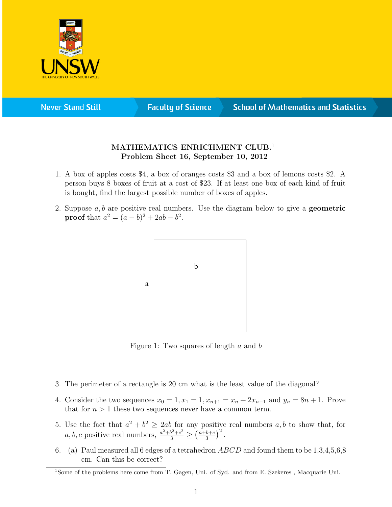

**Never Stand Still** 

**Faculty of Science** 

## **School of Mathematics and Statistics**

## MATHEMATICS ENRICHMENT CLUB.<sup>1</sup> Problem Sheet 16, September 10, 2012

- 1. A box of apples costs \$4, a box of oranges costs \$3 and a box of lemons costs \$2. A person buys 8 boxes of fruit at a cost of \$23. If at least one box of each kind of fruit is bought, find the largest possible number of boxes of apples.
- 2. Suppose  $a, b$  are positive real numbers. Use the diagram below to give a **geometric proof** that  $a^2 = (a - b)^2 + 2ab - b^2$ .



Figure 1: Two squares of length a and b

- 3. The perimeter of a rectangle is 20 cm what is the least value of the diagonal?
- 4. Consider the two sequences  $x_0 = 1, x_1 = 1, x_{n+1} = x_n + 2x_{n-1}$  and  $y_n = 8n + 1$ . Prove that for  $n > 1$  these two sequences never have a common term.
- 5. Use the fact that  $a^2 + b^2 \ge 2ab$  for any positive real numbers  $a, b$  to show that, for  $a, b, c$  positive real numbers,  $\frac{a^2 + b^2 + c^2}{3} \geq \left(\frac{a+b+c}{3}\right)$  $\frac{b+c}{3}\Big)^2$ .
- 6. (a) Paul measured all 6 edges of a tetrahedron  $ABCD$  and found them to be  $1,3,4,5,6,8$ cm. Can this be correct?

<sup>1</sup>Some of the problems here come from T. Gagen, Uni. of Syd. and from E. Szekeres , Macquarie Uni.